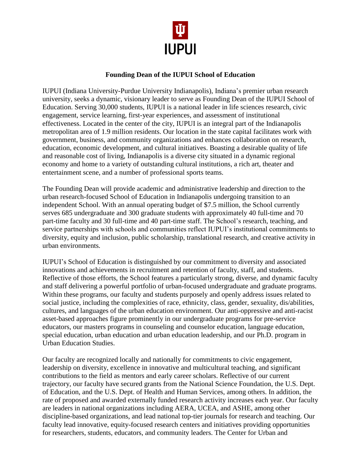

## **Founding Dean of the IUPUI School of Education**

IUPUI (Indiana University-Purdue University Indianapolis), Indiana's premier urban research university, seeks a dynamic, visionary leader to serve as Founding Dean of the IUPUI School of Education. Serving 30,000 students, IUPUI is a national leader in life sciences research, civic engagement, service learning, first-year experiences, and assessment of institutional effectiveness. Located in the center of the city, IUPUI is an integral part of the Indianapolis metropolitan area of 1.9 million residents. Our location in the state capital facilitates work with government, business, and community organizations and enhances collaboration on research, education, economic development, and cultural initiatives. Boasting a desirable quality of life and reasonable cost of living, Indianapolis is a diverse city situated in a dynamic regional economy and home to a variety of outstanding cultural institutions, a rich art, theater and entertainment scene, and a number of professional sports teams.

The Founding Dean will provide academic and administrative leadership and direction to the urban research-focused School of Education in Indianapolis undergoing transition to an independent School. With an annual operating budget of \$7.5 million, the School currently serves 685 undergraduate and 300 graduate students with approximately 40 full-time and 70 part-time faculty and 30 full-time and 40 part-time staff. The School's research, teaching, and service partnerships with schools and communities reflect IUPUI's institutional commitments to diversity, equity and inclusion, public scholarship, translational research, and creative activity in urban environments*.*

IUPUI's School of Education is distinguished by our commitment to diversity and associated innovations and achievements in recruitment and retention of faculty, staff, and students. Reflective of those efforts, the School features a particularly strong, diverse, and dynamic faculty and staff delivering a powerful portfolio of urban-focused undergraduate and graduate programs. Within these programs, our faculty and students purposely and openly address issues related to social justice, including the complexities of race, ethnicity, class, gender, sexuality, dis/abilities, cultures, and languages of the urban education environment. Our anti-oppressive and anti-racist asset-based approaches figure prominently in our undergraduate programs for pre-service educators, our masters programs in counseling and counselor education, language education, special education, urban education and urban education leadership, and our Ph.D. program in Urban Education Studies.

Our faculty are recognized locally and nationally for commitments to civic engagement, leadership on diversity, excellence in innovative and multicultural teaching, and significant contributions to the field as mentors and early career scholars. Reflective of our current trajectory, our faculty have secured grants from the National Science Foundation, the U.S. Dept. of Education, and the U.S. Dept. of Health and Human Services, among others. In addition, the rate of proposed and awarded externally funded research activity increases each year. Our faculty are leaders in national organizations including AERA, UCEA, and ASHE, among other discipline-based organizations, and lead national top-tier journals for research and teaching. Our faculty lead innovative, equity-focused research centers and initiatives providing opportunities for researchers, students, educators, and community leaders. The Center for Urban and